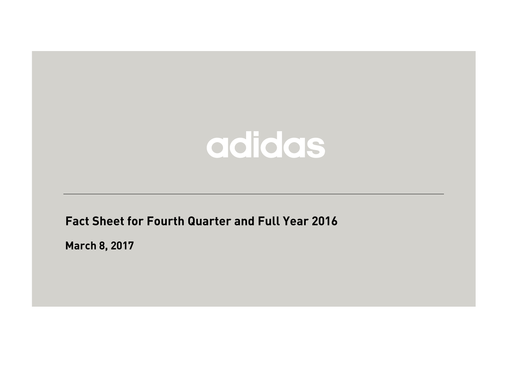**Fact Sheet for Fourth Quarter and Full Year 2016**

**March 8, 2017**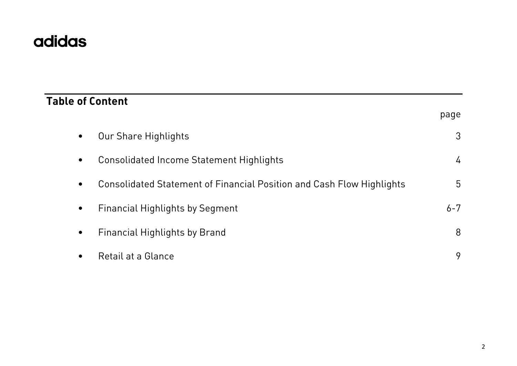# **Table of Content** page • Our Share Highlights 3 • Consolidated Income Statement Highlights 4 • Consolidated Statement of Financial Position and Cash Flow Highlights 5 • Financial Highlights by Segment 6-7  $\bullet$  Financial Highlights by Brand  $\bullet$  8  $\hspace{1cm}$  8 • Retail at a Glance 9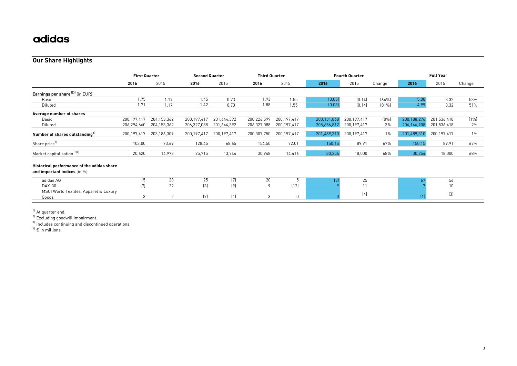#### **Our Share Highlights**

|                                                                            | <b>First Quarter</b> |                | <b>Second Quarter</b> |               | <b>Third Quarter</b> |             |             | <b>Fourth Quarter</b> |        |                                        | <b>Full Year</b> |        |
|----------------------------------------------------------------------------|----------------------|----------------|-----------------------|---------------|----------------------|-------------|-------------|-----------------------|--------|----------------------------------------|------------------|--------|
|                                                                            | 2016                 | 2015           | 2016                  | 2015          | 2016                 | 2015        | 2016        | 2015                  | Change | 2016                                   | 2015             | Change |
| Earnings per share <sup>2131</sup> (in EUR)                                |                      |                |                       |               |                      |             |             |                       |        |                                        |                  |        |
| Basic                                                                      | 1.75                 | 1.17           | 1.45                  | 0.73          | 1.93                 | 1.55        | (0.05)      | [0.14]                | [64%]  | 5.08                                   | 3.32             | 53%    |
| Diluted                                                                    | 1.71                 | 1.17           | 1.42                  | 0.73          | 1.88                 | 1.55        | (0.03)      | (0.14)                | [81%]  | 4.99                                   | 3.32             | 51%    |
| Average number of shares                                                   |                      |                |                       |               |                      |             |             |                       |        |                                        |                  |        |
| Basic                                                                      | 200, 197, 417        | 204, 153, 362  | 200,197,417           | 201,644,392   | 200,226,599          | 200.197.417 | 200,131,868 | 200, 197, 417         | [0%]   | 200,188,276                            | 201,536,418      | (1%    |
| Diluted                                                                    | 206,294,660          | 204, 153, 362  | 206,327,088           | 201,644,392   | 206,327,088          | 200,197,417 | 205,656,812 | 200, 197, 417         | 3%     | 206,146,908                            | 201,536,418      | 2%     |
| Number of shares outstanding <sup>11</sup>                                 | 200, 197, 417        | 203,186,309    | 200,197,417           | 200, 197, 417 | 200, 307, 750        | 200,197,417 | 201,489,310 | 200,197,417           | $1\%$  | 201,489,310                            | 200, 197, 417    | $1\%$  |
| Share price <sup>1)</sup>                                                  | 103.00               | 73.69          | 128.45                | 68.65         | 154.50               | 72.01       | 150.15      | 89.91                 | 67%    | 150.15                                 | 89.91            | 67%    |
| Market capitalisation 14                                                   | 20,620               | 14,973         | 25,715                | 13,744        | 30,948               | 14,416      | 30,254      | 18,000                | 68%    | 30,254                                 | 18,000           | 68%    |
| Historical performance of the adidas share<br>and important indices (in %) |                      |                |                       |               |                      |             |             |                       |        |                                        |                  |        |
| adidas AG                                                                  | 15                   | 28             | 25                    | (7)           | 20                   |             | $[3]$       | 25                    |        | 67                                     | 56               |        |
| DAX-30                                                                     | (7)                  | 22             | $[3]$                 | (9)           | 9                    | (12)        |             | 11                    |        |                                        | 10               |        |
| MSCI World Textiles, Apparel & Luxury<br>Goods                             | 3                    | $\overline{2}$ | (7)                   | (1)           | 3                    | $\mathbf 0$ |             | (4)                   |        | $\left\lceil \frac{1}{2} \right\rceil$ | $[3]$            |        |

<sup>1)</sup> At quarter end.

<sup>2)</sup> Excluding goodwill impairment.

 $3)$  Includes continuing and discontinued operations.

 $4)$   $\epsilon$  in millions.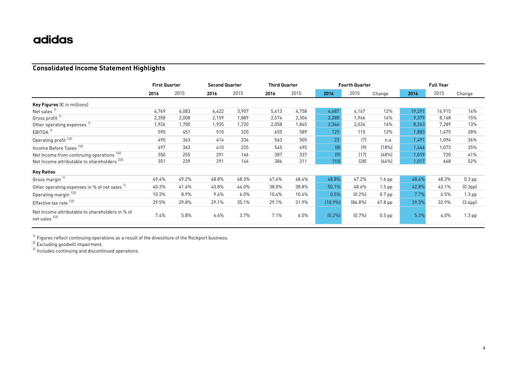#### **Consolidated Income Statement Highlights**

|                                                                   | <b>First Quarter</b> |       | <b>Second Quarter</b> |       | <b>Third Quarter</b> |       |         | <b>Fourth Quarter</b> |          | <b>Full Year</b> |        |                      |  |
|-------------------------------------------------------------------|----------------------|-------|-----------------------|-------|----------------------|-------|---------|-----------------------|----------|------------------|--------|----------------------|--|
|                                                                   | 2016                 | 2015  | 2016                  | 2015  | 2016                 | 2015  | 2016    | 2015                  | Change   | 2016             | 2015   | Change               |  |
| <b>Key Figures</b> ( $\epsilon$ in millions)                      |                      |       |                       |       |                      |       |         |                       |          |                  |        |                      |  |
| Net sales <sup>11</sup>                                           | 4,769                | 4,083 | 4,422                 | 3,907 | 5,413                | 4,758 | 4,687   | 4,167                 | 12%      | 19,291           | 16,915 | 14%                  |  |
| Gross profit <sup>11</sup>                                        | 2,358                | 2,008 | 2,159                 | 1,889 | 2,574                | 2,304 | 2,288   | 1,966                 | 16%      | 9,379            | 8,168  | 15%                  |  |
| Other operating expenses <sup>1)</sup>                            | 1,924                | 1,700 | 1,935                 | 1,720 | 2,058                | 1,845 | 2,346   | 2,024                 | 16%      | 8,263            | 7,289  | 13%                  |  |
| EBITDA <sup>1)</sup>                                              | 590                  | 451   | 510                   | 320   | 655                  | 589   | 129     | 115                   | 12%      | 1,883            | 1,475  | 28%                  |  |
| Operating profit <sup>1121</sup>                                  | 490                  | 363   | 414                   | 234   | 563                  | 505   | 23      | (7)                   | n.a.     | 1,491            | 1,094  | 36%                  |  |
| Income Before Taxes <sup>1121</sup>                               | 497                  | 363   | 410                   | 225   | 545                  | 495   | [8]     | (9)                   | (18%)    | 1,444            | 1,073  | 35%                  |  |
| Net Income from continuing operations 12)                         | 350                  | 255   | 291                   | 146   | 387                  | 337   | (9)     | (17)                  | (48%)    | 1,019            | 720    | 41%                  |  |
| Net Income attributable to shareholders <sup>2131</sup>           | 351                  | 239   | 291                   | 146   | 386                  | 311   | (10)    | (28)                  | (64%)    | 1,017            | 668    | 52%                  |  |
| <b>Key Ratios</b>                                                 |                      |       |                       |       |                      |       |         |                       |          |                  |        |                      |  |
| Gross margin <sup>11</sup>                                        | 49.4%                | 49.2% | 48.8%                 | 48.3% | 47.6%                | 48.4% | 48.8%   | 47.2%                 | $1.6$ pp | 48.6%            | 48.3%  | $0.3$ pp             |  |
| Other operating expenses in % of net sales 1)                     | 40.3%                | 41.6% | 43.8%                 | 44.0% | 38.0%                | 38.8% | 50.1%   | 48.6%                 | $1.5$ pp | 42.8%            | 43.1%  | [0.3 <sub>pp</sub> ] |  |
| Operating margin <sup>1121</sup>                                  | 10.3%                | 8.9%  | 9.4%                  | 6.0%  | 10.4%                | 10.6% | 0.5%    | (0.2%                 | $0.7$ pp | 7.7%             | 6.5%   | $1.3$ pp             |  |
| Effective tax rate 1121                                           | 29.5%                | 29.8% | 29.1%                 | 35.1% | 29.1%                | 31.9% | (18.9%) | [86.8%]               | 67.8 pp  | 29.5%            | 32.9%  | (3.4 <sub>pp</sub> ) |  |
| Net Income attributable to shareholders in % of<br>net sales 2131 | 7.4%                 | 5.8%  | 6.6%                  | 3.7%  | 7.1%                 | 6.5%  | (0.2%   | [0.7%]                | $0.5$ pp | 5.3%             | 4.0%   | $1.3$ pp             |  |

 $^{\text{1)}}$  Figures reflect continuing operations as a result of the divestiture of the Rockport business.

<sup>2)</sup> Excluding goodwill impairment.

 $^{3)}$  Includes continuing and discontinued operations.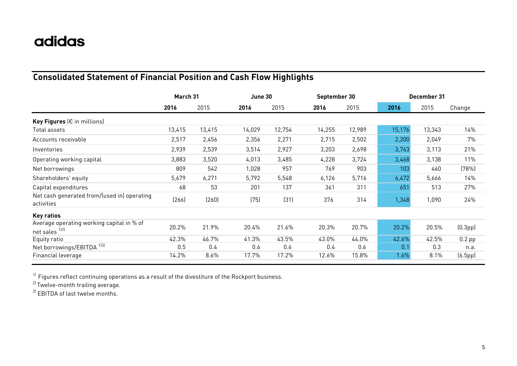### **Consolidated Statement of Financial Position and Cash Flow Highlights**

|                                                             | March 31 |        | June 30 |        | September 30 |        | December 31 |        |                      |
|-------------------------------------------------------------|----------|--------|---------|--------|--------------|--------|-------------|--------|----------------------|
|                                                             | 2016     | 2015   | 2016    | 2015   | 2016         | 2015   | 2016        | 2015   | Change               |
| Key Figures ( $\epsilon$ in millions)                       |          |        |         |        |              |        |             |        |                      |
| Total assets                                                | 13,415   | 13,415 | 14,029  | 12,754 | 14,255       | 12,989 | 15,176      | 13,343 | 14%                  |
| Accounts receivable                                         | 2,517    | 2,456  | 2,356   | 2,271  | 2,715        | 2,502  | 2,200       | 2,049  | 7%                   |
| Inventories                                                 | 2,939    | 2,539  | 3,514   | 2,927  | 3,203        | 2,698  | 3,763       | 3,113  | 21%                  |
| Operating working capital                                   | 3,883    | 3,520  | 4,013   | 3,485  | 4,228        | 3,724  | 3,468       | 3,138  | 11%                  |
| Net borrowings                                              | 809      | 542    | 1,028   | 957    | 769          | 903    | 103         | 460    | (78%)                |
| Shareholders' equity                                        | 5,679    | 6,271  | 5,792   | 5,548  | 6,126        | 5,716  | 6,472       | 5,666  | 14%                  |
| Capital expenditures                                        | 68       | 53     | 201     | 137    | 361          | 311    | 651         | 513    | 27%                  |
| Net cash generated from/(used in) operating<br>activities   | (266)    | (260)  | (75)    | (31)   | 376          | 314    | 1,348       | 1,090  | 24%                  |
| <b>Key ratios</b>                                           |          |        |         |        |              |        |             |        |                      |
| Average operating working capital in % of<br>net sales 1121 | 20.2%    | 21.9%  | 20.4%   | 21.6%  | 20.3%        | 20.7%  | 20.2%       | 20.5%  | (0.3 <sub>pp</sub> ) |
| Equity ratio                                                | 42.3%    | 46.7%  | 41.3%   | 43.5%  | 43.0%        | 44.0%  | 42.6%       | 42.5%  | $0.2$ pp             |
| Net borrowings/EBITDA <sup>1]3]</sup>                       | 0.5      | 0.4    | 0.6     | 0.6    | 0.4          | 0.6    | 0.1         | 0.3    | n.a.                 |
| Financial leverage                                          | 14.2%    | 8.6%   | 17.7%   | 17.2%  | 12.6%        | 15.8%  | 1.6%        | 8.1%   | (6.5pp)              |

 $^{\rm 1)}$  Figures reflect continuing operations as a result of the divestiture of the Rockport business.

 $^{2)}$ Twelve-month trailing average.

 $3)$  EBITDA of last twelve months.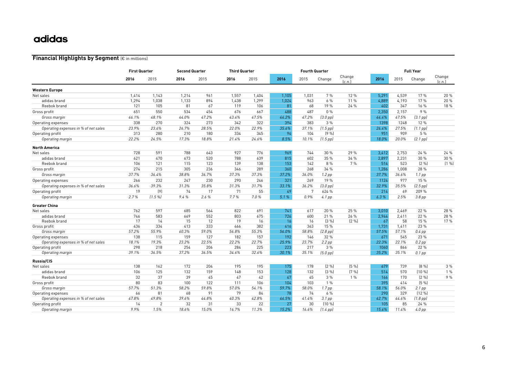#### **Financial Highlights by Segment** (€ in millions)

|                                      |       | <b>First Quarter</b> |       | <b>Second Quarter</b> |       | <b>Third Quarter</b> |       | <b>Fourth Quarter</b> |                   |                  |       | <b>Full Year</b> |                   |                  |
|--------------------------------------|-------|----------------------|-------|-----------------------|-------|----------------------|-------|-----------------------|-------------------|------------------|-------|------------------|-------------------|------------------|
|                                      | 2016  | 2015                 | 2016  | 2015                  | 2016  | 2015                 | 2016  | 2015                  | Change            | Change<br>[c.n.] | 2016  | 2015             | Change            | Change<br>[c.n.] |
| <b>Western Europe</b>                |       |                      |       |                       |       |                      |       |                       |                   |                  |       |                  |                   |                  |
| Net sales                            | 1,414 | 1,143                | 1,214 | 961                   | 1,557 | 1,404                | 1,105 | 1,031                 | 7%                | 12 %             | 5,291 | 4,539            | 17%               | 20 %             |
| adidas brand                         | 1,294 | 1,038                | 1,133 | 894                   | 1,438 | 1,299                | 1,024 | 963                   | 6%                | 11 %             | 4,889 | 4,193            | 17%               | 20 %             |
| Reebok brand                         | 121   | 105                  | 81    | 67                    | 119   | 106                  | 81    | 68                    | 19 %              | 24 %             | 402   | 347              | 16 %              | 18 %             |
| Gross profit                         | 651   | 550                  | 534   | 454                   | 676   | 667                  | 488   | 487                   | $0\%$             |                  | 2.350 | 2.157            | 9%                |                  |
| Gross margin                         | 46.1% | 48.1%                | 44.0% | 47.2%                 | 43.4% | 47.5%                | 44.2% | 47.2%                 | $(3.0$ pp $)$     |                  | 44.4% | 47.5%            | $[3.1$ pp $]$     |                  |
| Operating expenses                   | 338   | 270                  | 324   | 273                   | 342   | 322                  | 394   | 383                   | 3%                |                  | 1398  | 1248             | 12%               |                  |
| Operating expenses in % of net sales | 23.9% | 23.6%                | 26.7% | 28.5%                 | 22.0% | 22.9%                | 35.6% | 37.1%                 | $(1.5$ pp)        |                  | 26.4% | 27.5%            | $(1.1$ pp $)$     |                  |
| Operating profit                     | 313   | 280                  | 210   | 180                   | 334   | 345                  | 94    | 104                   | (9%               |                  | 951   | 909              | 5 %               |                  |
| Operating margin                     | 22.2% | 24.5%                | 17.3% | 18.8%                 | 21.4% | 24.6%                | 8.5%  | 10.1%                 | $(1.5$ pp)        |                  | 18.0% | 20.0%            | $(2.1$ pp $)$     |                  |
| <b>North America</b>                 |       |                      |       |                       |       |                      |       |                       |                   |                  |       |                  |                   |                  |
| Net sales                            | 728   | 591                  | 788   | 643                   | 927   | 776                  | 969   | 744                   | 30 %              | 29 %             | 3,412 | 2,753            | 24 %              | 24 %             |
| adidas brand                         | 621   | 470                  | 673   | 520                   | 788   | 639                  | 815   | 602                   | 35 %              | 34 %             | 2,897 | 2,231            | 30 %              | 30 %             |
| Reebok brand                         | 106   | 121                  | 115   | 123                   | 139   | 138                  | 153   | 142                   | 8 %               | 7%               | 514   | 523              | [2%]              | (1 %)            |
| Gross profit                         | 274   | 215                  | 305   | 236                   | 346   | 289                  | 360   | 268                   | 34 %              |                  | 1,286 | 1,008            | 28 %              |                  |
| Gross margin                         | 37.7% | 36.4%                | 38.8% | 36.7%                 | 37.3% | 37.3%                | 37.2% | 36.0%                 | $1.2$ pp          |                  | 37.7% | 36.6%            | $1.1$ pp          |                  |
| Operating expenses                   | 266   | 232                  | 247   | 230                   | 290   | 246                  | 321   | 269                   | 19 %              |                  | 1124  | 977              | 15 %              |                  |
| Operating expenses in % of net sales | 36.6% | 39.3%                | 31.3% | 35.8%                 | 31.3% | 31.7%                | 33.1% | 36.2%                 | $(3.0$ pp $)$     |                  | 32.9% | 35.5%            | $(2.5$ pp $)$     |                  |
| Operating profit                     | 19    | (9)                  | 74    | 17                    | 71    | 55                   | 49    | 7                     | 624 %             |                  | 214   | 69               | 209 %             |                  |
| Operating margin                     | 2.7%  | (1.5%                | 9.4%  | 2.6%                  | 7.7%  | 7.0%                 | 5.1%  | 0.9%                  | 4.1 pp            |                  | 6.3%  | 2.5%             | 3.8 <sub>pp</sub> |                  |
| <b>Greater China</b>                 |       |                      |       |                       |       |                      |       |                       |                   |                  |       |                  |                   |                  |
| Net sales                            | 762   | 597                  | 685   | 564                   | 822   | 691                  | 741   | 617                   | 20 %              | 25 %             | 3.010 | 2,469            | 22 %              | 28 %             |
| adidas brand                         | 746   | 583                  | 669   | 552                   | 803   | 675                  | 726   | 600                   | 21 %              | 26 %             | 2.944 | 2,411            | 22 %              | 28 %             |
| Reebok brand                         | 17    | 14                   | 15    | 12                    | 19    | 16                   | 16    | 16                    | (3 %)             | (2 %)            | 67    | 58               | 15 %              | 17%              |
| Gross profit                         | 436   | 334                  | 413   | 333                   | 466   | 382                  | 416   | 363                   | 15 %              |                  | 1,731 | 1,411            | 23 %              |                  |
| Gross margin                         | 57.2% | 55.9%                | 60.3% | 59.0%                 | 56.8% | 55.3%                | 56.0% | 58.8%                 | $(2.8$ pp $)$     |                  | 57.5% | 57.1%            | $0.4$ pp          |                  |
| Operating expenses                   | 138   | 115                  | 159   | 127                   | 182   | 157                  | 192   | 146                   | 32 %              |                  | 671   | 545              | 23 %              |                  |
| Operating expenses in % of net sales | 18.1% | 19.3%                | 23.2% | 22.5%                 | 22.2% | 22.7%                | 25.9% | 23.7%                 | $2.2$ pp          |                  | 22.3% | 22.1%            | $0.2$ pp          |                  |
| Operating profit                     | 298   | 218                  | 254   | 206                   | 284   | 225                  | 223   | 217                   | 3 %               |                  | 1060  | 866              | 22 %              |                  |
| Operating margin                     | 39.1% | 36.5%                | 37.2% | 36.5%                 | 34.6% | 32.6%                | 30.1% | 35.1%                 | $(5.0$ pp $)$     |                  | 35.2% | 35.1%            | $0.1$ pp          |                  |
| Russia/CIS                           |       |                      |       |                       |       |                      |       |                       |                   |                  |       |                  |                   |                  |
| Net sales                            | 138   | 162                  | 172   | 204                   | 195   | 195                  | 175   | 178                   | [2%]              | [5%]             | 679   | 739              | [8%]              | 3%               |
| adidas brand                         | 106   | 125                  | 132   | 159                   | 148   | 153                  | 128   | 132                   | (3 %)             | [7%]             | 514   | 570              | (10%              | 1%               |
| Reebok brand                         | 32    | 37                   | 39    | 45                    | 47    | 42                   | 47    | 45                    | 3%                | $1\%$            | 166   | 170              | [2%]              | 9%               |
| Gross profit                         | 80    | 83                   | 100   | 122                   | 111   | 106                  | 104   | 103                   | 1%                |                  | 395   | 414              | (5%               |                  |
| Gross margin                         | 57.7% | 51.3%                | 58.2% | 59.8%                 | 57.0% | 54.1%                | 59.7% | 58.0%                 | 1.7 <sub>pp</sub> |                  | 58.1% | 56.0%            | $2.1$ pp          |                  |
| Operating expenses                   | 66    | 81                   | 68    | 91                    | 79    | 84                   | 78    | 74                    | 6%                |                  | 290   | 329              | (12 %)            |                  |
| Operating expenses in % of net sales | 47.8% | 49.8%                | 39.6% | 44.8%                 | 40.3% | 42.8%                | 44.5% | 41.4%                 | $3.1$ pp          |                  | 42.7% | 44.6%            | $(1.8$ pp)        |                  |
| Operating profit                     | 14    | 2                    | 32    | 31                    | 33    | 22                   | 27    | 30                    | (10%              |                  | 105   | 85               | 24 %              |                  |
| Operating margin                     | 9.9%  | 1.5%                 | 18.6% | 15.0%                 | 16.7% | 11.3%                | 15.2% | 16.6%                 | $(1.4$ pp $)$     |                  | 15.4% | 11.4%            | $4.0$ pp          |                  |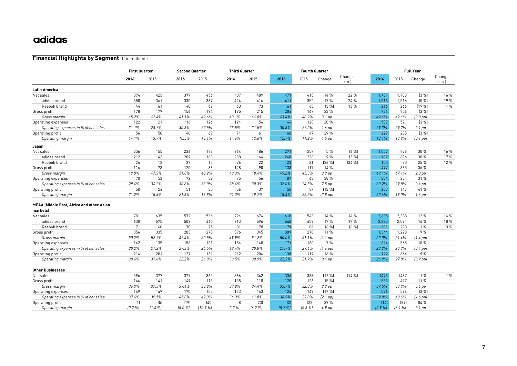#### **Financial Highlights by Segment** (€ in millions)

|                                           | <b>First Quarter</b> |       |       | <b>Second Quarter</b> |       | <b>Third Quarter</b> |        | <b>Fourth Quarter</b> |                   |                  | <b>Full Year</b> |       |                   |                  |
|-------------------------------------------|----------------------|-------|-------|-----------------------|-------|----------------------|--------|-----------------------|-------------------|------------------|------------------|-------|-------------------|------------------|
|                                           | 2016                 | 2015  | 2016  | 2015                  | 2016  | 2015                 | 2016   | 2015                  | Change            | Change<br>[c.n.] | 2016             | 2015  | Change            | Change<br>(c.n.) |
| Latin America                             |                      |       |       |                       |       |                      |        |                       |                   |                  |                  |       |                   |                  |
| Net sales                                 | 394                  | 423   | 379   | 456                   | 487   | 489                  | 471    | 415                   | 14 %              | 22 %             | 1.731            | 1.783 | [3%]              | 16 %             |
| adidas brand                              | 350                  | 361   | 330   | 387                   | 424   | 416                  | 411    | 352                   | 17%               | 24%              | 1.515            | 1.516 | [0, %]            | 19 %             |
| Reebok brand                              | $44^{1}$             | 61    | 48    | 69                    | 63    | 73                   | 61     | 63                    | [3%]              | 13 %             | 216              | 266   | [19%]             | 1%               |
| Gross profit                              | 178                  | 179   | 156   | 194                   | 195   | 215                  | 204    | 167                   | 23 %              |                  | 734              | 756   | [3%]              |                  |
| Gross margin                              | 45.2%                | 42.4% | 41.1% | 42.6%                 | 40.1% | 44.0%                | 43.4%  | 40.2%                 | 3.1 <sub>pp</sub> |                  | 42.4%            | 42.4% | $(0.0$ pp $)$     |                  |
| Operating expenses                        | 122                  | 121   | 116   | 126                   | 124   | 154                  | 144    | 120                   | 20 %              |                  | 507              | 521   | (3 %)             |                  |
| Operating expenses in % of net sales      | 31.1%                | 28.7% | 30.6% | 27.5%                 | 25.5% | 31.5%                | 30.6%  | 29.0%                 | $1.6$ pp          |                  | 29.3%            | 29.2% | $0.1$ pp          |                  |
| Operating profit                          | 56                   | 58    | 40    | 69                    | 71    | 61                   | 60     | 47                    | 29 %              |                  | 227              | 235   | (3 %)             |                  |
| Operating margin                          | 14.1%                | 13.7% | 10.5% | 15.1%                 | 14.6% | 12.6%                | 12.7%  | 11.2%                 | $1.5$ pp          |                  | 13.1%            | 13.2% | $[0.1$ pp $]$     |                  |
| Japan                                     |                      |       |       |                       |       |                      |        |                       |                   |                  |                  |       |                   |                  |
| Net sales                                 | 236                  | 155   | 236   | 178                   | 264   | 186                  | 271    | 257                   | 5 %               | [6, 96]          | 1.007            | 776   | 30 %              | 16 %             |
| adidas brand                              | 212                  | 143   | 209   | 163                   | 238   | 164                  | 248    | 226                   | 9%                | [3%]             | 907              | 696   | 30 %              | 17%              |
| Reebok brand                              | 24                   | 12    | 27    | 15                    | 26    | 22                   | 23     | 31                    | $[26 \%]$         | $[34 \%]$        | 100              | 80    | 25 %              | 12 %             |
| Gross profit                              | 116                  | 73    | 120   | 86                    | 128   | 90                   | 133    | 117                   | 14 %              |                  | 497              | 365   | 36 %              |                  |
| Gross margin                              | 49.0%                | 47.3% | 51.0% | 48.2%                 | 48.3% | 48.4%                | 49.2%  | 45.3%                 | 3.9 <sub>pp</sub> |                  | 49.4%            | 47.1% | $2.3$ pp          |                  |
| Operating expenses                        | 70                   | 53    | 72    | 59                    | 75    | 56                   | 87     | 63                    | 38 %              |                  | 304              | 231   | 31 %              |                  |
| Operating expenses in % of net sales      | 29.4%                | 34.2% | 30.8% | 33.0%                 | 28.4% | 30.3%                | 32.0%  | 24.5%                 | $7.5$ pp          |                  | 30.2%            | 29.8% | $0.4$ pp          |                  |
| Operating profit                          | 50                   | 24    | 51    | 30                    | 56    | 37                   | 50     | 57                    | $(13\%$           |                  | 207              | 147   | 41 %              |                  |
| Operating margin                          | 21.2%                | 15.3% | 21.6% | 16.8%                 | 21.3% | 19.7%                | 18.4%  | 22.2%                 | $(3.8$ pp $)$     |                  | 20.6%            | 19.0% | $1.6$ pp          |                  |
| MEAA (Middle East, Africa and other Asian |                      |       |       |                       |       |                      |        |                       |                   |                  |                  |       |                   |                  |
| markets)                                  |                      |       |       |                       |       |                      |        |                       |                   |                  |                  |       |                   |                  |
| Net sales                                 | 701                  | 635   | 572   | 536                   | 794   | 674                  | 618    | 543                   | 14 %              | 14 %             | 2,685            | 2,388 | 12%               | 16 %             |
| adidas brand                              | 630                  | 575   | 502   | 460                   | 713   | 596                  | 540    | 459                   | 17 %              | 17 %             | 2,385            | 2,091 | 14 %              | 18 %             |
| Reebok brand                              | 71                   | 60    | 70    | 75                    | 81    | 78                   | 79     | 84                    | [6, 96]           | [6, 96]          | 301              | 298   | 1%                | 3%               |
| Gross profit                              | 356                  | 335   | 283   | 270                   | 396   | 345                  | 309    | 278                   | 11 %              |                  | 1.344            | 1,228 | 9 %               |                  |
| Gross margin                              | 50.7%                | 52.7% | 49.4% | 50.5%                 | 49.9% | 51.2%                | 50.0%  | 51.1%                 | $(1.1$ pp $)$     |                  | 50.0%            | 51.4% | $(1.4$ pp $)$     |                  |
| Operating expenses                        | 142                  | 135   | 156   | 131                   | 154   | 140                  | 171    | 160                   | 7%                |                  | 624              | 565   | 10%               |                  |
| Operating expenses in % of net sales      | 20.2%                | 21.2% | 27.3% | 24.5%                 | 19.4% | 20.8%                | 27.7%  | 29.4%                 | $(1.6$ pp $)$     |                  | 23.2%            | 23.7% | $(0.4$ pp)        |                  |
| Operating profit                          | 214                  | 201   | 127   | 139                   | 242   | 206                  | 138    | 119                   | 16 %              |                  | 722              | 664   | 9%                |                  |
| Operating margin                          | 30.6%                | 31.6% | 22.2% | 26.0%                 | 30.5% | 30.5%                | 22.3%  | 21.9%                 | $0.4$ pp          |                  | 26.9%            | 27.8% | $(0.9$ pp $)$     |                  |
| <b>Other Businesses</b>                   |                      |       |       |                       |       |                      |        |                       |                   |                  |                  |       |                   |                  |
| Net sales                                 | 396                  | 377   | 377   | 365                   | 366   | 342                  | 336    | 383                   | (12 %)            | [14%]            | 1475             | 1467  | 1%                | 1%               |
| Gross profit                              | 146                  | 141   | 149   | 113                   | 138   | 118                  | 120    | 126                   | (5%               |                  | 553              | 497   | 11 %              |                  |
| Gross margin                              | 36.9%                | 37.5% | 39.4% | 30.8%                 | 37.8% | 34.4%                | 35.7%  | 32.8%                 | $2.9$ pp          |                  | 37.5%            | 33.9% | $3.6$ pp          |                  |
| Operating expenses                        | 149                  | 149   | 170   | 155                   | 133   | 143                  | 124    | 149                   | (17%)             |                  | 576              | 596   | (3 %)             |                  |
| Operating expenses in % of net sales      | 37.6%                | 39.5% | 45.0% | 42.3%                 | 36.3% | 41.8%                | 36.9%  | 39.0%                 | $(2.1$ pp $)$     |                  | 39.0%            | 40.6% | $(1.6$ pp)        |                  |
| Operating profit                          | (1)                  | (5)   | [19]  | (40)                  | 8     | [23]                 | [2]    | [22]                  | 89 %              |                  | (14)             | [89]  | 84 %              |                  |
| Operating margin                          | [0.2%]               | (1.4% | (5.0% | (10.9%                | 2.2%  | (6.7%                | [0.7%] | (5.6%                 | 4.9 <sub>pp</sub> |                  | [0.9%]           | (6.1% | 5.1 <sub>pp</sub> |                  |
|                                           |                      |       |       |                       |       |                      |        |                       |                   |                  |                  |       |                   |                  |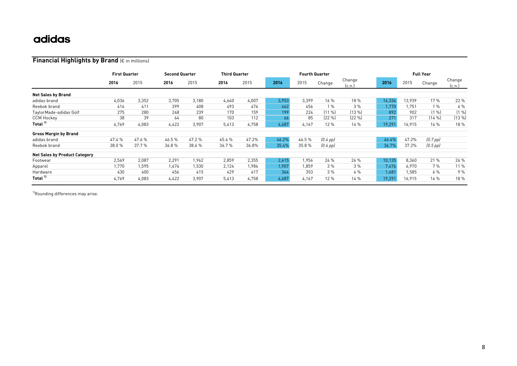#### **Financial Highlights by Brand** (€ in millions)

|                                      |        | <b>First Quarter</b> |       | <b>Second Quarter</b> |       | <b>Third Quarter</b> |       | <b>Fourth Quarter</b> |               |                 |        |        | <b>Full Year</b> |                  |  |  |
|--------------------------------------|--------|----------------------|-------|-----------------------|-------|----------------------|-------|-----------------------|---------------|-----------------|--------|--------|------------------|------------------|--|--|
|                                      | 2016   | 2015                 | 2016  | 2015                  | 2016  | 2015                 | 2016  | 2015                  | Change        | Change<br>lc.n. | 2016   | 2015   | Change           | Change<br>[c.n.] |  |  |
| <b>Net Sales by Brand</b>            |        |                      |       |                       |       |                      |       |                       |               |                 |        |        |                  |                  |  |  |
| adidas brand                         | 4,036  | 3.352                | 3,705 | 3,180                 | 4,640 | 4,007                | 3,953 | 3,399                 | 16%           | 18 %            | 16,334 | 13,939 | 17 %             | 22 %             |  |  |
| Reebok brand                         | 416    | 411                  | 399   | 408                   | 493   | 476                  | 462   | 456                   | 1%            | 3%              | 1,770  | 1.751  | 1%               | 6%               |  |  |
| TaylorMade-adidas Golf               | 275    | 280                  | 248   | 239                   | 170   | 159                  | 199   | 224                   | $[11 \, \%]$  | $(13 \%)$       | 892    | 902    | [1%]             | (1%              |  |  |
| <b>CCM Hockey</b>                    | 38     | 39                   | 64    | 80                    | 103   | 112                  | 66    | 85                    | $[22\%]$      | $(22\% )$       | 271    | 317    | [14%]            | (13 %)           |  |  |
| Total "                              | 4,769  | 4.083                | 4,422 | 3,907                 | 5,413 | 4,758                | 4,687 | 4,167                 | 12 %          | 14 %            | 19,291 | 16,915 | 14%              | 18 %             |  |  |
| <b>Gross Margin by Brand</b>         |        |                      |       |                       |       |                      |       |                       |               |                 |        |        |                  |                  |  |  |
| adidas brand                         | 47.4 % | 47.6%                | 46.5% | 47.2%                 | 45.6% | 47.2%                | 46.2% | 46.5%                 | $[0.4$ pp $]$ |                 | 46.4%  | 47.2%  | $(0.7$ pp $)$    |                  |  |  |
| Reebok brand                         | 38.0%  | 37.7%                | 36.8% | 38.6 %                | 36.7% | 36.8%                | 35.4% | 35.8%                 | $[0.4$ pp $]$ |                 | 36.7%  | 37.2%  | $(0.5$ pp $)$    |                  |  |  |
| <b>Net Sales by Product Category</b> |        |                      |       |                       |       |                      |       |                       |               |                 |        |        |                  |                  |  |  |
| Footwear                             | 2,569  | 2.087                | 2,291 | 1,962                 | 2,859 | 2,355                | 2,415 | 1,956                 | 24%           | 26 %            | 10,135 | 8,360  | 21 %             | 26 %             |  |  |
| Apparel                              | .770   | 1.595                | 1,674 | 1,530                 | 2,124 | 1.986                | 1.907 | 1.859                 | 3%            | 3%              | 7,476  | 6.970  | 7%               | 11 %             |  |  |
| Hardware                             | 430    | 400                  | 456   | 415                   | 429   | 417                  | 364   | 353                   | 3%            | 4%              | 1,681  | 1,585  | 6 %              | 9%               |  |  |
| Total "                              | 4.769  | 4,083                | 4,422 | 3,907                 | 5,413 | 4,758                | 4,687 | 4,167                 | 12 %          | 14%             | 19,291 | 16,915 | 14%              | 18 %             |  |  |

<sup>1)</sup>Rounding differences may arise.